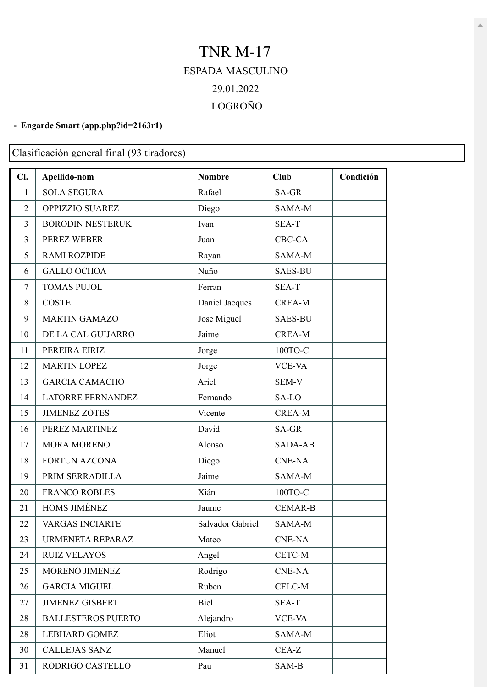## TNR M-17 ESPADA MASCULINO 29.01.2022 LOGROÑO

## **- Engarde Smart [\(app.php?id=2163r1\)](https://engarde-service.com/app.php?id=2163r1)**

Clasificación general final (93 tiradores)

| Cl.            | Apellido-nom              | <b>Nombre</b>    | <b>Club</b>    | Condición |
|----------------|---------------------------|------------------|----------------|-----------|
| $\mathbf{1}$   | <b>SOLA SEGURA</b>        | Rafael           | SA-GR          |           |
| $\overline{2}$ | OPPIZZIO SUAREZ           | Diego            | SAMA-M         |           |
| 3              | <b>BORODIN NESTERUK</b>   | Ivan             | SEA-T          |           |
| 3              | PEREZ WEBER               | Juan             | CBC-CA         |           |
| 5              | <b>RAMI ROZPIDE</b>       | Rayan            | SAMA-M         |           |
| 6              | <b>GALLO OCHOA</b>        | Nuño             | <b>SAES-BU</b> |           |
| 7              | <b>TOMAS PUJOL</b>        | Ferran           | SEA-T          |           |
| 8              | <b>COSTE</b>              | Daniel Jacques   | <b>CREA-M</b>  |           |
| 9              | <b>MARTIN GAMAZO</b>      | Jose Miguel      | <b>SAES-BU</b> |           |
| 10             | DE LA CAL GUIJARRO        | Jaime            | <b>CREA-M</b>  |           |
| 11             | PEREIRA EIRIZ             | Jorge            | 100ТО-С        |           |
| 12             | <b>MARTIN LOPEZ</b>       | Jorge            | <b>VCE-VA</b>  |           |
| 13             | <b>GARCIA CAMACHO</b>     | Ariel            | SEM-V          |           |
| 14             | <b>LATORRE FERNANDEZ</b>  | Fernando         | SA-LO          |           |
| 15             | <b>JIMENEZ ZOTES</b>      | Vicente          | <b>CREA-M</b>  |           |
| 16             | PEREZ MARTINEZ            | David            | SA-GR          |           |
| 17             | <b>MORA MORENO</b>        | Alonso           | <b>SADA-AB</b> |           |
| 18             | <b>FORTUN AZCONA</b>      | Diego            | <b>CNE-NA</b>  |           |
| 19             | PRIM SERRADILLA           | Jaime            | SAMA-M         |           |
| 20             | <b>FRANCO ROBLES</b>      | Xián             | 100TO-C        |           |
| 21             | HOMS JIMÉNEZ              | Jaume            | <b>CEMAR-B</b> |           |
| 22             | <b>VARGAS INCIARTE</b>    | Salvador Gabriel | SAMA-M         |           |
| 23             | URMENETA REPARAZ          | Mateo            | $CNE-NA$       |           |
| 24             | <b>RUIZ VELAYOS</b>       | Angel            | $CETC-M$       |           |
| 25             | MORENO JIMENEZ            | Rodrigo          | <b>CNE-NA</b>  |           |
| 26             | <b>GARCIA MIGUEL</b>      | Ruben            | $CELC-M$       |           |
| 27             | <b>JIMENEZ GISBERT</b>    | Biel             | SEA-T          |           |
| 28             | <b>BALLESTEROS PUERTO</b> | Alejandro        | <b>VCE-VA</b>  |           |
| 28             | <b>LEBHARD GOMEZ</b>      | Eliot            | SAMA-M         |           |
| 30             | <b>CALLEJAS SANZ</b>      | Manuel           | CEA-Z          |           |
| 31             | RODRIGO CASTELLO          | Pau              | SAM-B          |           |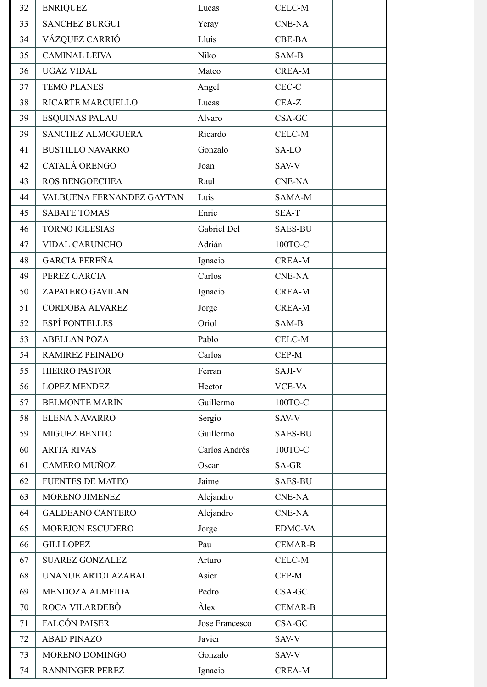| 32 | <b>ENRIQUEZ</b>           | Lucas          | <b>CELC-M</b>  |
|----|---------------------------|----------------|----------------|
| 33 | <b>SANCHEZ BURGUI</b>     | Yeray          | <b>CNE-NA</b>  |
| 34 | VÁZQUEZ CARRIÓ            | Lluis          | <b>CBE-BA</b>  |
| 35 | <b>CAMINAL LEIVA</b>      | Niko           | SAM-B          |
| 36 | <b>UGAZ VIDAL</b>         | Mateo          | <b>CREA-M</b>  |
| 37 | <b>TEMO PLANES</b>        | Angel          | $CEC-C$        |
| 38 | <b>RICARTE MARCUELLO</b>  | Lucas          | CEA-Z          |
| 39 | <b>ESQUINAS PALAU</b>     | Alvaro         | CSA-GC         |
| 39 | <b>SANCHEZ ALMOGUERA</b>  | Ricardo        | CELC-M         |
| 41 | <b>BUSTILLO NAVARRO</b>   | Gonzalo        | SA-LO          |
| 42 | CATALÁ ORENGO             | Joan           | SAV-V          |
| 43 | <b>ROS BENGOECHEA</b>     | Raul           | <b>CNE-NA</b>  |
| 44 | VALBUENA FERNANDEZ GAYTAN | Luis           | SAMA-M         |
| 45 | <b>SABATE TOMAS</b>       | Enric          | <b>SEA-T</b>   |
| 46 | <b>TORNO IGLESIAS</b>     | Gabriel Del    | <b>SAES-BU</b> |
| 47 | <b>VIDAL CARUNCHO</b>     | Adrián         | 100TO-C        |
| 48 | <b>GARCIA PEREÑA</b>      | Ignacio        | <b>CREA-M</b>  |
| 49 | PEREZ GARCIA              | Carlos         | <b>CNE-NA</b>  |
| 50 | ZAPATERO GAVILAN          | Ignacio        | <b>CREA-M</b>  |
| 51 | CORDOBA ALVAREZ           | Jorge          | <b>CREA-M</b>  |
| 52 | <b>ESPÍ FONTELLES</b>     | Oriol          | SAM-B          |
| 53 | <b>ABELLAN POZA</b>       | Pablo          | CELC-M         |
| 54 | <b>RAMIREZ PEINADO</b>    | Carlos         | CEP-M          |
| 55 | <b>HIERRO PASTOR</b>      | Ferran         | SAJI-V         |
| 56 | <b>LOPEZ MENDEZ</b>       | Hector         | <b>VCE-VA</b>  |
| 57 | <b>BELMONTE MARÍN</b>     | Guillermo      | 100TO-C        |
| 58 | <b>ELENA NAVARRO</b>      | Sergio         | SAV-V          |
| 59 | <b>MIGUEZ BENITO</b>      | Guillermo      | <b>SAES-BU</b> |
| 60 | <b>ARITA RIVAS</b>        | Carlos Andrés  | 100ТО-С        |
| 61 | <b>CAMERO MUÑOZ</b>       | Oscar          | SA-GR          |
| 62 | <b>FUENTES DE MATEO</b>   | Jaime          | <b>SAES-BU</b> |
| 63 | MORENO JIMENEZ            | Alejandro      | <b>CNE-NA</b>  |
| 64 | <b>GALDEANO CANTERO</b>   | Alejandro      | <b>CNE-NA</b>  |
| 65 | <b>MOREJON ESCUDERO</b>   | Jorge          | <b>EDMC-VA</b> |
| 66 | <b>GILI LOPEZ</b>         | Pau            | <b>CEMAR-B</b> |
| 67 | <b>SUAREZ GONZALEZ</b>    | Arturo         | CELC-M         |
| 68 | UNANUE ARTOLAZABAL        | Asier          | CEP-M          |
| 69 | MENDOZA ALMEIDA           | Pedro          | CSA-GC         |
| 70 | ROCA VILARDEBÒ            | Alex           | <b>CEMAR-B</b> |
| 71 | <b>FALCÓN PAISER</b>      | Jose Francesco | CSA-GC         |
| 72 | <b>ABAD PINAZO</b>        | Javier         | SAV-V          |
| 73 | MORENO DOMINGO            | Gonzalo        | SAV-V          |
| 74 | <b>RANNINGER PEREZ</b>    | Ignacio        | <b>CREA-M</b>  |